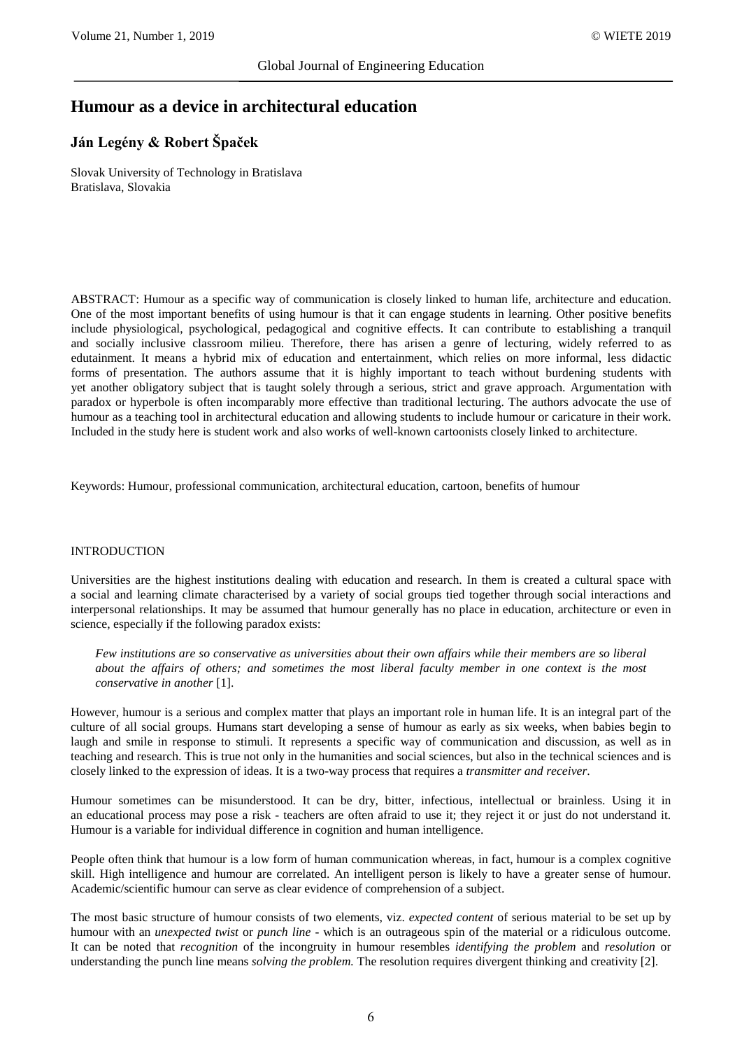# **Humour as a device in architectural education**

## **Ján Legény & Robert Špaček**

Slovak University of Technology in Bratislava Bratislava, Slovakia

ABSTRACT: Humour as a specific way of communication is closely linked to human life, architecture and education. One of the most important benefits of using humour is that it can engage students in learning. Other positive benefits include physiological, psychological, pedagogical and cognitive effects. It can contribute to establishing a tranquil and socially inclusive classroom milieu. Therefore, there has arisen a genre of lecturing, widely referred to as edutainment. It means a hybrid mix of education and entertainment, which relies on more informal, less didactic forms of presentation. The authors assume that it is highly important to teach without burdening students with yet another obligatory subject that is taught solely through a serious, strict and grave approach. Argumentation with paradox or hyperbole is often incomparably more effective than traditional lecturing. The authors advocate the use of humour as a teaching tool in architectural education and allowing students to include humour or caricature in their work. Included in the study here is student work and also works of well-known cartoonists closely linked to architecture.

Keywords: Humour, professional communication, architectural education, cartoon, benefits of humour

#### INTRODUCTION

Universities are the highest institutions dealing with education and research. In them is created a cultural space with a social and learning climate characterised by a variety of social groups tied together through social interactions and interpersonal relationships. It may be assumed that humour generally has no place in education, architecture or even in science, especially if the following paradox exists:

*Few institutions are so conservative as universities about their own affairs while their members are so liberal about the affairs of others; and sometimes the most liberal faculty member in one context is the most conservative in another* [1].

However, humour is a serious and complex matter that plays an important role in human life. It is an integral part of the culture of all social groups. Humans start developing a sense of humour as early as six weeks, when babies begin to laugh and smile in response to stimuli. It represents a specific way of communication and discussion, as well as in teaching and research. This is true not only in the humanities and social sciences, but also in the technical sciences and is closely linked to the expression of ideas. It is a two-way process that requires a *transmitter and receiver*.

Humour sometimes can be misunderstood. It can be dry, bitter, infectious, intellectual or brainless. Using it in an educational process may pose a risk - teachers are often afraid to use it; they reject it or just do not understand it. Humour is a variable for individual difference in cognition and human intelligence.

People often think that humour is a low form of human communication whereas, in fact, humour is a complex cognitive skill. High intelligence and humour are correlated. An intelligent person is likely to have a greater sense of humour. Academic/scientific humour can serve as clear evidence of comprehension of a subject.

The most basic structure of humour consists of two elements, viz. *expected content* of serious material to be set up by humour with an *unexpected twist* or *punch line* - which is an outrageous spin of the material or a ridiculous outcome. It can be noted that *recognition* of the incongruity in humour resembles *identifying the problem* and *resolution* or understanding the punch line means *solving the problem.* The resolution requires divergent thinking and creativity [2].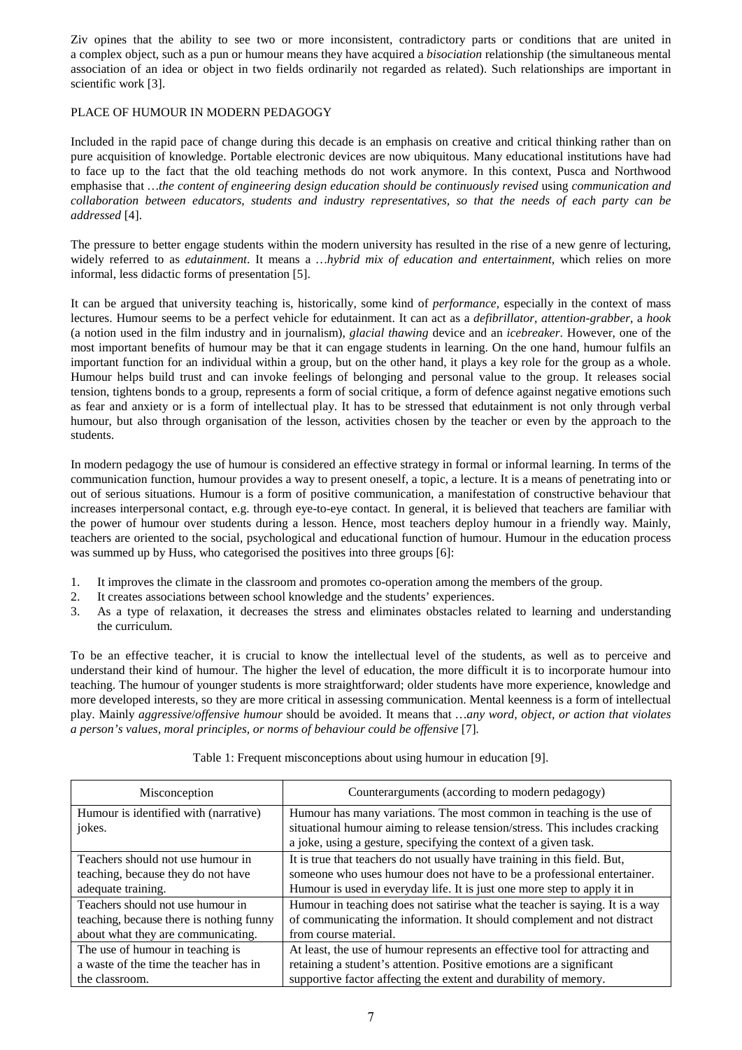Ziv opines that the ability to see two or more inconsistent, contradictory parts or conditions that are united in a complex object, such as a pun or humour means they have acquired a *bisociation* relationship (the simultaneous mental association of an idea or object in two fields ordinarily not regarded as related). Such relationships are important in scientific work [3].

## PLACE OF HUMOUR IN MODERN PEDAGOGY

Included in the rapid pace of change during this decade is an emphasis on creative and critical thinking rather than on pure acquisition of knowledge. Portable electronic devices are now ubiquitous. Many educational institutions have had to face up to the fact that the old teaching methods do not work anymore. In this context, Pusca and Northwood emphasise that *…the content of engineering design education should be continuously revised* using *communication and collaboration between educators, students and industry representatives, so that the needs of each party can be addressed* [4].

The pressure to better engage students within the modern university has resulted in the rise of a new genre of lecturing, widely referred to as *edutainment*. It means a *…hybrid mix of education and entertainment*, which relies on more informal, less didactic forms of presentation [5].

It can be argued that university teaching is, historically, some kind of *performance,* especially in the context of mass lectures. Humour seems to be a perfect vehicle for edutainment. It can act as a *defibrillator*, *attention-grabber*, a *hook* (a notion used in the film industry and in journalism), *glacial thawing* device and an *icebreaker*. However, one of the most important benefits of humour may be that it can engage students in learning. On the one hand, humour fulfils an important function for an individual within a group, but on the other hand, it plays a key role for the group as a whole. Humour helps build trust and can invoke feelings of belonging and personal value to the group. It releases social tension, tightens bonds to a group, represents a form of social critique, a form of defence against negative emotions such as fear and anxiety or is a form of intellectual play. It has to be stressed that edutainment is not only through verbal humour, but also through organisation of the lesson, activities chosen by the teacher or even by the approach to the students.

In modern pedagogy the use of humour is considered an effective strategy in formal or informal learning. In terms of the communication function, humour provides a way to present oneself, a topic, a lecture. It is a means of penetrating into or out of serious situations. Humour is a form of positive communication, a manifestation of constructive behaviour that increases interpersonal contact, e.g. through eye-to-eye contact. In general, it is believed that teachers are familiar with the power of humour over students during a lesson. Hence, most teachers deploy humour in a friendly way. Mainly, teachers are oriented to the social, psychological and educational function of humour. Humour in the education process was summed up by Huss, who categorised the positives into three groups [6]:

- 1. It improves the climate in the classroom and promotes co-operation among the members of the group.
- 2. It creates associations between school knowledge and the students' experiences.
- 3. As a type of relaxation, it decreases the stress and eliminates obstacles related to learning and understanding the curriculum.

To be an effective teacher, it is crucial to know the intellectual level of the students, as well as to perceive and understand their kind of humour. The higher the level of education, the more difficult it is to incorporate humour into teaching. The humour of younger students is more straightforward; older students have more experience, knowledge and more developed interests, so they are more critical in assessing communication. Mental keenness is a form of intellectual play. Mainly *aggressive*/*offensive humour* should be avoided. It means that *…any word, object, or action that violates a person's values, moral principles, or norms of behaviour could be offensive* [7].

| Misconception                                   | Counterarguments (according to modern pedagogy)                                                                                                                                                                          |
|-------------------------------------------------|--------------------------------------------------------------------------------------------------------------------------------------------------------------------------------------------------------------------------|
| Humour is identified with (narrative)<br>jokes. | Humour has many variations. The most common in teaching is the use of<br>situational humour aiming to release tension/stress. This includes cracking<br>a joke, using a gesture, specifying the context of a given task. |
| Teachers should not use humour in               | It is true that teachers do not usually have training in this field. But,                                                                                                                                                |
| teaching, because they do not have              | someone who uses humour does not have to be a professional entertainer.                                                                                                                                                  |
| adequate training.                              | Humour is used in everyday life. It is just one more step to apply it in                                                                                                                                                 |
| Teachers should not use humour in               | Humour in teaching does not satirise what the teacher is saying. It is a way                                                                                                                                             |
| teaching, because there is nothing funny        | of communicating the information. It should complement and not distract                                                                                                                                                  |
| about what they are communicating.              | from course material.                                                                                                                                                                                                    |
| The use of humour in teaching is                | At least, the use of humour represents an effective tool for attracting and                                                                                                                                              |
| a waste of the time the teacher has in          | retaining a student's attention. Positive emotions are a significant                                                                                                                                                     |
| the classroom.                                  | supportive factor affecting the extent and durability of memory.                                                                                                                                                         |

Table 1: Frequent misconceptions about using humour in education [9].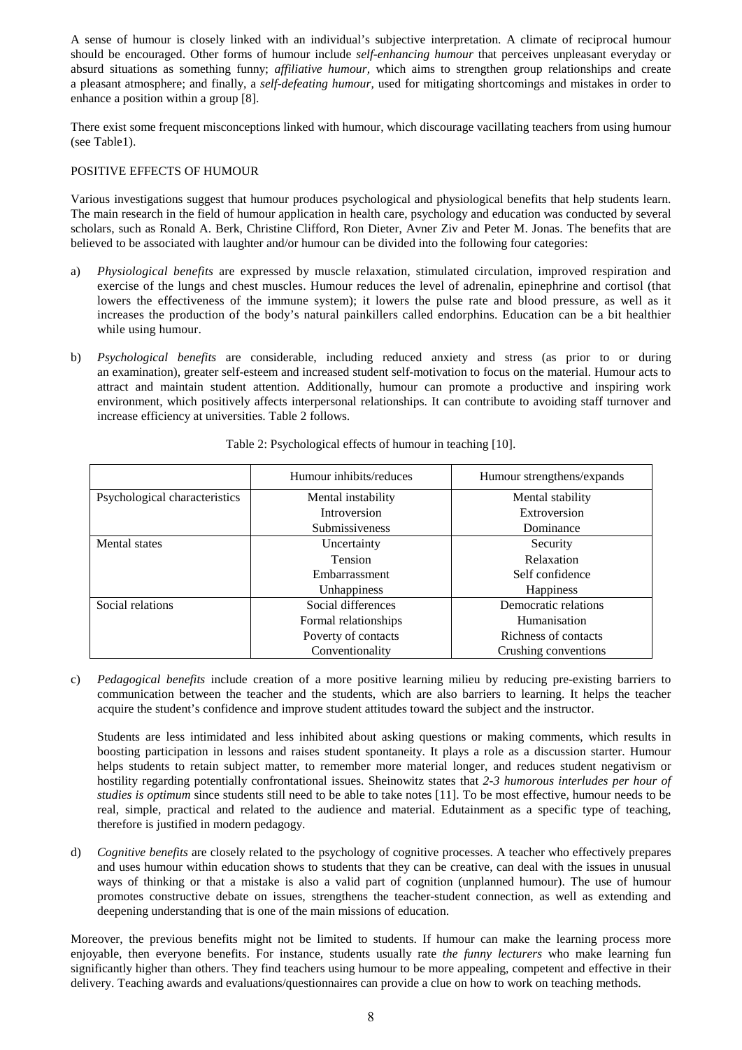A sense of humour is closely linked with an individual's subjective interpretation. A climate of reciprocal humour should be encouraged. Other forms of humour include *self-enhancing humour* that perceives unpleasant everyday or absurd situations as something funny; *affiliative humour,* which aims to strengthen group relationships and create a pleasant atmosphere; and finally, a *self-defeating humour,* used for mitigating shortcomings and mistakes in order to enhance a position within a group [8].

There exist some frequent misconceptions linked with humour, which discourage vacillating teachers from using humour (see Table1).

## POSITIVE EFFECTS OF HUMOUR

Various investigations suggest that humour produces psychological and physiological benefits that help students learn. The main research in the field of humour application in health care, psychology and education was conducted by several scholars, such as Ronald A. Berk, Christine Clifford, Ron Dieter, Avner Ziv and Peter M. Jonas. The benefits that are believed to be associated with laughter and/or humour can be divided into the following four categories:

- a) *Physiological benefits* are expressed by muscle relaxation, stimulated circulation, improved respiration and exercise of the lungs and chest muscles. Humour reduces the level of adrenalin, epinephrine and cortisol (that lowers the effectiveness of the immune system); it lowers the pulse rate and blood pressure, as well as it increases the production of the body's natural painkillers called endorphins. Education can be a bit healthier while using humour.
- b) *Psychological benefits* are considerable, including reduced anxiety and stress (as prior to or during an examination), greater self-esteem and increased student self-motivation to focus on the material. Humour acts to attract and maintain student attention. Additionally, humour can promote a productive and inspiring work environment, which positively affects interpersonal relationships. It can contribute to avoiding staff turnover and increase efficiency at universities. Table 2 follows.

|                               | Humour inhibits/reduces | Humour strengthens/expands |
|-------------------------------|-------------------------|----------------------------|
| Psychological characteristics | Mental instability      | Mental stability           |
|                               | Introversion            | Extroversion               |
|                               | Submissiveness          | Dominance                  |
| Mental states                 | Uncertainty             | Security                   |
|                               | <b>Tension</b>          | Relaxation                 |
|                               | Embarrassment           | Self confidence            |
|                               | Unhappiness             | <b>Happiness</b>           |
| Social relations              | Social differences      | Democratic relations       |
|                               | Formal relationships    | Humanisation               |
|                               | Poverty of contacts     | Richness of contacts       |
|                               | Conventionality         | Crushing conventions       |

## Table 2: Psychological effects of humour in teaching [10].

c) *Pedagogical benefits* include creation of a more positive learning milieu by reducing pre-existing barriers to communication between the teacher and the students, which are also barriers to learning. It helps the teacher acquire the student's confidence and improve student attitudes toward the subject and the instructor.

Students are less intimidated and less inhibited about asking questions or making comments, which results in boosting participation in lessons and raises student spontaneity. It plays a role as a discussion starter. Humour helps students to retain subject matter, to remember more material longer, and reduces student negativism or hostility regarding potentially confrontational issues. Sheinowitz states that *2-3 humorous interludes per hour of studies is optimum* since students still need to be able to take notes [11]. To be most effective, humour needs to be real, simple, practical and related to the audience and material. Edutainment as a specific type of teaching, therefore is justified in modern pedagogy.

d) *Cognitive benefits* are closely related to the psychology of cognitive processes. A teacher who effectively prepares and uses humour within education shows to students that they can be creative, can deal with the issues in unusual ways of thinking or that a mistake is also a valid part of cognition (unplanned humour). The use of humour promotes constructive debate on issues, strengthens the teacher-student connection, as well as extending and deepening understanding that is one of the main missions of education.

Moreover, the previous benefits might not be limited to students. If humour can make the learning process more enjoyable, then everyone benefits. For instance, students usually rate *the funny lecturers* who make learning fun significantly higher than others. They find teachers using humour to be more appealing, competent and effective in their delivery. Teaching awards and evaluations/questionnaires can provide a clue on how to work on teaching methods.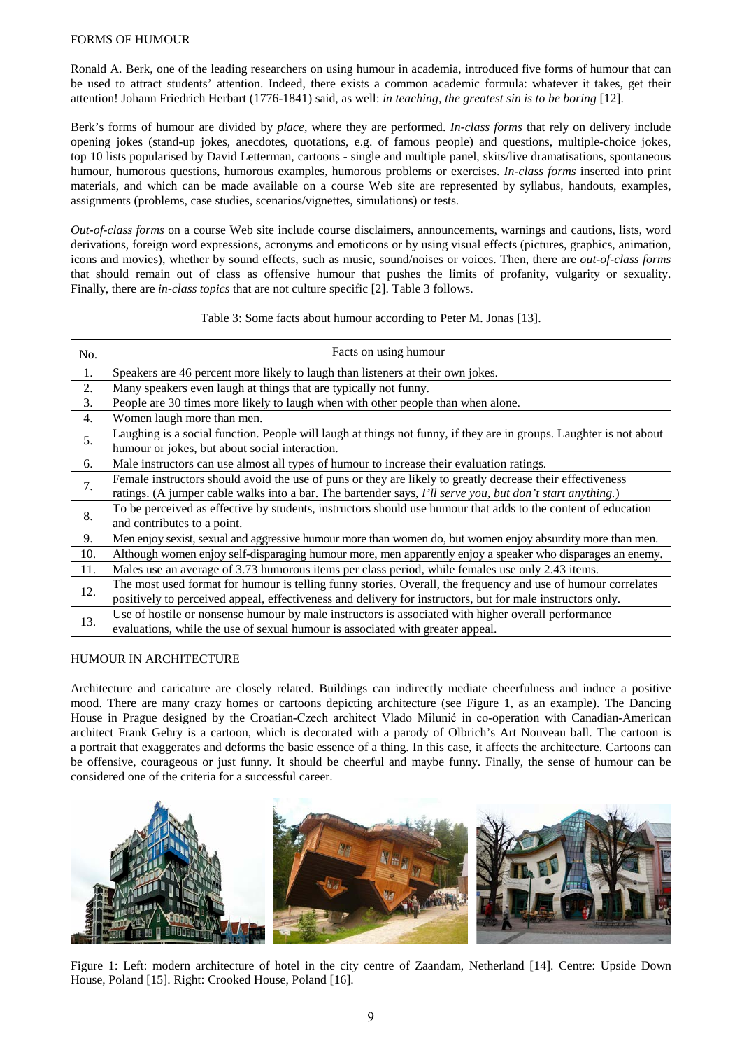#### FORMS OF HUMOUR

Ronald A. Berk, one of the leading researchers on using humour in academia, introduced five forms of humour that can be used to attract students' attention. Indeed, there exists a common academic formula: whatever it takes, get their attention! Johann Friedrich Herbart (1776-1841) said, as well: *in teaching, the greatest sin is to be boring* [12].

Berk's forms of humour are divided by *place*, where they are performed. *In-class forms* that rely on delivery include opening jokes (stand-up jokes, anecdotes, quotations, e.g. of famous people) and questions, multiple-choice jokes, top 10 lists popularised by David Letterman, cartoons - single and multiple panel, skits/live dramatisations, spontaneous humour, humorous questions, humorous examples, humorous problems or exercises. *In-class forms* inserted into print materials, and which can be made available on a course Web site are represented by syllabus, handouts, examples, assignments (problems, case studies, scenarios/vignettes, simulations) or tests.

*Out-of-class forms* on a course Web site include course disclaimers, announcements, warnings and cautions, lists, word derivations, foreign word expressions, acronyms and emoticons or by using visual effects (pictures, graphics, animation, icons and movies), whether by sound effects, such as music, sound/noises or voices. Then, there are *out-of-class forms*  that should remain out of class as offensive humour that pushes the limits of profanity, vulgarity or sexuality. Finally, there are *in-class topics* that are not culture specific [2]. Table 3 follows.

#### Table 3: Some facts about humour according to Peter M. Jonas [13].

| No. | Facts on using humour                                                                                                                                                                                                       |
|-----|-----------------------------------------------------------------------------------------------------------------------------------------------------------------------------------------------------------------------------|
| 1.  | Speakers are 46 percent more likely to laugh than listeners at their own jokes.                                                                                                                                             |
| 2.  | Many speakers even laugh at things that are typically not funny.                                                                                                                                                            |
| 3.  | People are 30 times more likely to laugh when with other people than when alone.                                                                                                                                            |
| 4.  | Women laugh more than men.                                                                                                                                                                                                  |
| 5.  | Laughing is a social function. People will laugh at things not funny, if they are in groups. Laughter is not about<br>humour or jokes, but about social interaction.                                                        |
| 6.  | Male instructors can use almost all types of humour to increase their evaluation ratings.                                                                                                                                   |
| 7.  | Female instructors should avoid the use of puns or they are likely to greatly decrease their effectiveness<br>ratings. (A jumper cable walks into a bar. The bartender says, I'll serve you, but don't start anything.)     |
| 8.  | To be perceived as effective by students, instructors should use humour that adds to the content of education<br>and contributes to a point.                                                                                |
| 9.  | Men enjoy sexist, sexual and aggressive humour more than women do, but women enjoy absurdity more than men.                                                                                                                 |
| 10. | Although women enjoy self-disparaging humour more, men apparently enjoy a speaker who disparages an enemy.                                                                                                                  |
| 11. | Males use an average of 3.73 humorous items per class period, while females use only 2.43 items.                                                                                                                            |
| 12. | The most used format for humour is telling funny stories. Overall, the frequency and use of humour correlates<br>positively to perceived appeal, effectiveness and delivery for instructors, but for male instructors only. |
| 13. | Use of hostile or nonsense humour by male instructors is associated with higher overall performance<br>evaluations, while the use of sexual humour is associated with greater appeal.                                       |

#### HUMOUR IN ARCHITECTURE

Architecture and caricature are closely related. Buildings can indirectly mediate cheerfulness and induce a positive mood. There are many crazy homes or cartoons depicting architecture (see Figure 1, as an example). The Dancing House in Prague designed by the Croatian-Czech architect Vlado Milunić in co-operation with Canadian-American architect Frank Gehry is a cartoon, which is decorated with a parody of Olbrich's Art Nouveau ball. The cartoon is a portrait that exaggerates and deforms the basic essence of a thing. In this case, it affects the architecture. Cartoons can be offensive, courageous or just funny. It should be cheerful and maybe funny. Finally, the sense of humour can be considered one of the criteria for a successful career.



Figure 1: Left: modern architecture of hotel in the city centre of Zaandam, Netherland [14]. Centre: Upside Down House, Poland [15]. Right: Crooked House, Poland [16].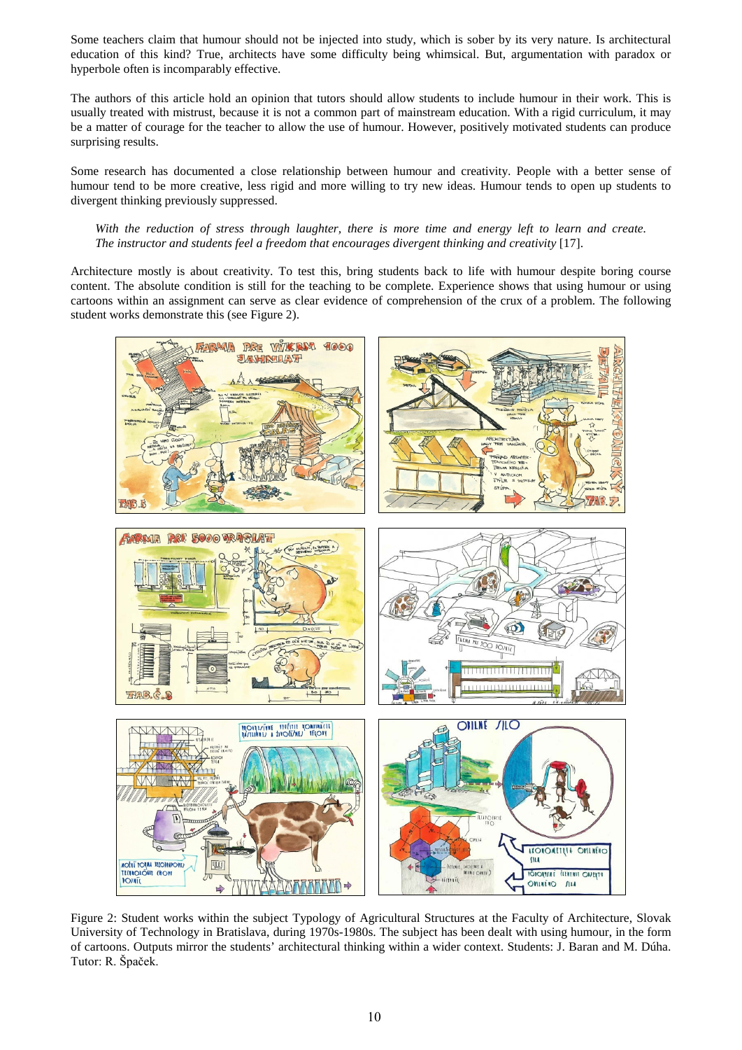Some teachers claim that humour should not be injected into study, which is sober by its very nature. Is architectural education of this kind? True, architects have some difficulty being whimsical. But, argumentation with paradox or hyperbole often is incomparably effective.

The authors of this article hold an opinion that tutors should allow students to include humour in their work. This is usually treated with mistrust, because it is not a common part of mainstream education. With a rigid curriculum, it may be a matter of courage for the teacher to allow the use of humour. However, positively motivated students can produce surprising results.

Some research has documented a close relationship between humour and creativity. People with a better sense of humour tend to be more creative, less rigid and more willing to try new ideas. Humour tends to open up students to divergent thinking previously suppressed.

### *With the reduction of stress through laughter, there is more time and energy left to learn and create. The instructor and students feel a freedom that encourages divergent thinking and creativity* [17].

Architecture mostly is about creativity. To test this, bring students back to life with humour despite boring course content. The absolute condition is still for the teaching to be complete. Experience shows that using humour or using cartoons within an assignment can serve as clear evidence of comprehension of the crux of a problem. The following student works demonstrate this (see Figure 2).



Figure 2: Student works within the subject Typology of Agricultural Structures at the Faculty of Architecture, Slovak University of Technology in Bratislava, during 1970s-1980s. The subject has been dealt with using humour, in the form of cartoons. Outputs mirror the students' architectural thinking within a wider context. Students: J. Baran and M. Dúha. Tutor: R. Špaček.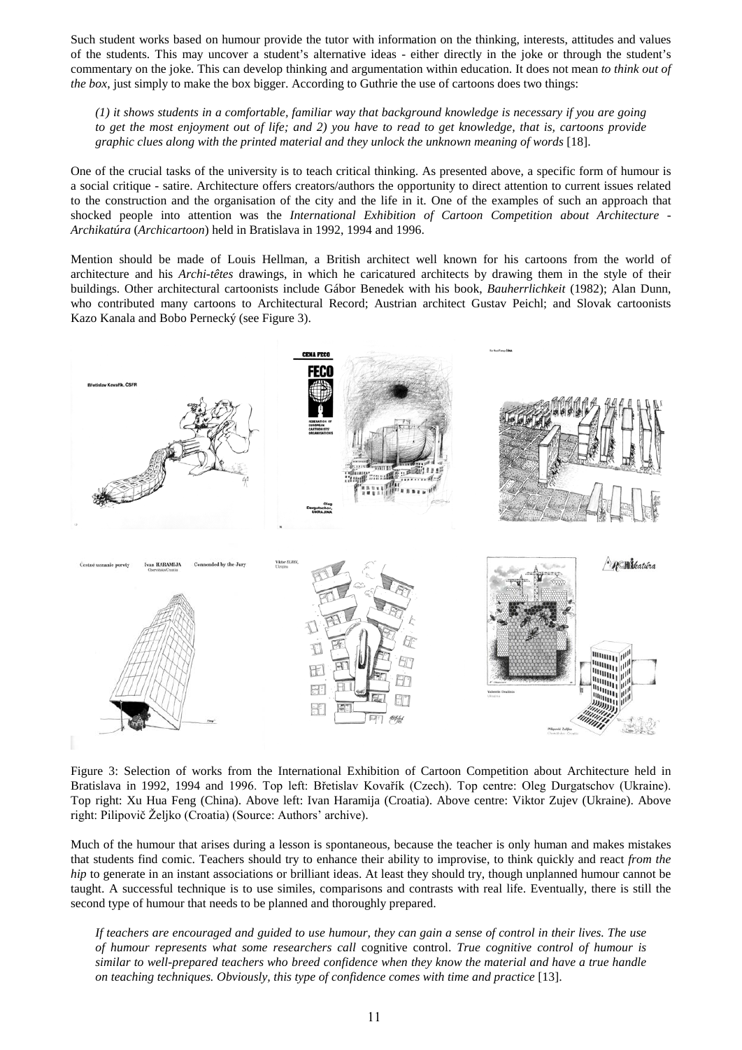Such student works based on humour provide the tutor with information on the thinking, interests, attitudes and values of the students. This may uncover a student's alternative ideas - either directly in the joke or through the student's commentary on the joke. This can develop thinking and argumentation within education. It does not mean *to think out of the box*, just simply to make the box bigger. According to Guthrie the use of cartoons does two things:

*(1) it shows students in a comfortable, familiar way that background knowledge is necessary if you are going to get the most enjoyment out of life; and 2) you have to read to get knowledge, that is, cartoons provide graphic clues along with the printed material and they unlock the unknown meaning of words* [18].

One of the crucial tasks of the university is to teach critical thinking. As presented above, a specific form of humour is a social critique - satire. Architecture offers creators/authors the opportunity to direct attention to current issues related to the construction and the organisation of the city and the life in it. One of the examples of such an approach that shocked people into attention was the *International Exhibition of Cartoon Competition about Architecture* - *Archikatúra* (*Archicartoon*) held in Bratislava in 1992, 1994 and 1996.

Mention should be made of Louis Hellman, a British architect well known for his cartoons from the world of architecture and his *Archi-têtes* drawings, in which he caricatured architects by drawing them in the style of their buildings. Other architectural cartoonists include Gábor Benedek with his book, *Bauherrlichkeit* (1982); Alan Dunn, who contributed many cartoons to Architectural Record; Austrian architect Gustav Peichl; and Slovak cartoonists Kazo Kanala and Bobo Pernecký (see Figure 3).



Figure 3: Selection of works from the International Exhibition of Cartoon Competition about Architecture held in Bratislava in 1992, 1994 and 1996. Top left: Břetislav Kovařík (Czech). Top centre: Oleg Durgatschov (Ukraine). Top right: Xu Hua Feng (China). Above left: Ivan Haramija (Croatia). Above centre: Viktor Zujev (Ukraine). Above right: Pilipovič Željko (Croatia) (Source: Authors' archive).

Much of the humour that arises during a lesson is spontaneous, because the teacher is only human and makes mistakes that students find comic. Teachers should try to enhance their ability to improvise, to think quickly and react *from the hip* to generate in an instant associations or brilliant ideas. At least they should try, though unplanned humour cannot be taught. A successful technique is to use similes, comparisons and contrasts with real life. Eventually, there is still the second type of humour that needs to be planned and thoroughly prepared.

*If teachers are encouraged and guided to use humour, they can gain a sense of control in their lives. The use of humour represents what some researchers call* cognitive control. *True cognitive control of humour is similar to well-prepared teachers who breed confidence when they know the material and have a true handle on teaching techniques. Obviously, this type of confidence comes with time and practice* [13].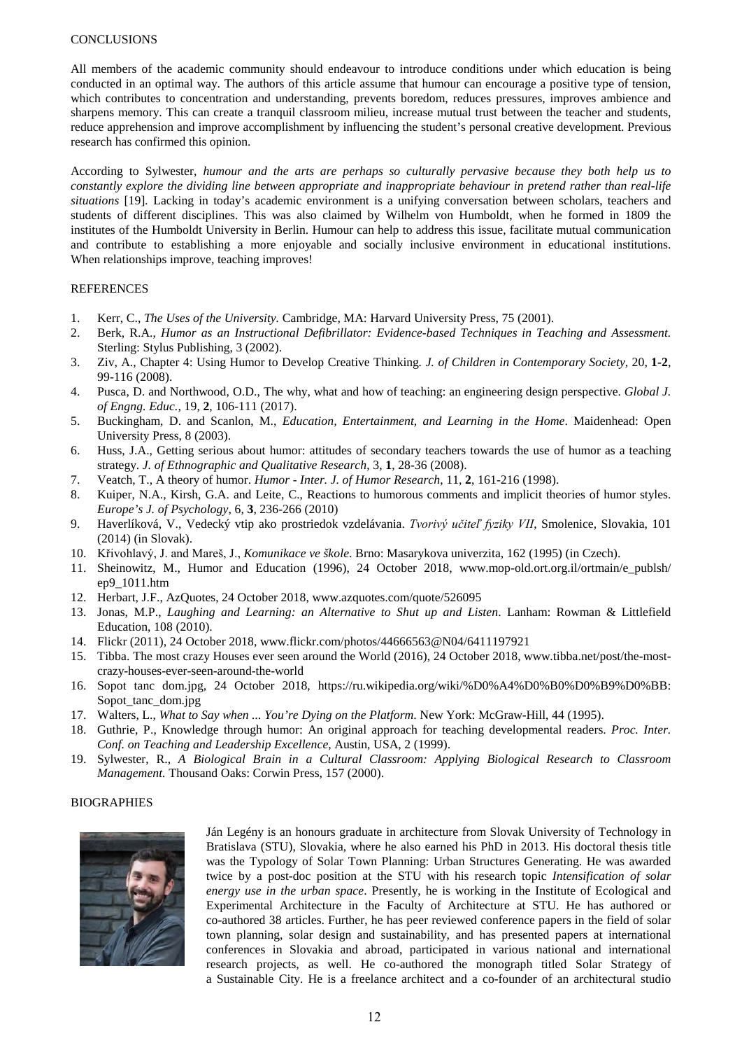#### **CONCLUSIONS**

All members of the academic community should endeavour to introduce conditions under which education is being conducted in an optimal way. The authors of this article assume that humour can encourage a positive type of tension, which contributes to concentration and understanding, prevents boredom, reduces pressures, improves ambience and sharpens memory. This can create a tranquil classroom milieu, increase mutual trust between the teacher and students, reduce apprehension and improve accomplishment by influencing the student's personal creative development. Previous research has confirmed this opinion.

According to Sylwester, *humour and the arts are perhaps so culturally pervasive because they both help us to constantly explore the dividing line between appropriate and inappropriate behaviour in pretend rather than real-life situations* [19]*.* Lacking in today's academic environment is a unifying conversation between scholars, teachers and students of different disciplines. This was also claimed by Wilhelm von Humboldt, when he formed in 1809 the institutes of the Humboldt University in Berlin. Humour can help to address this issue, facilitate mutual communication and contribute to establishing a more enjoyable and socially inclusive environment in educational institutions. When relationships improve, teaching improves!

#### REFERENCES

- 1. Kerr, C., *The Uses of the University.* Cambridge, MA: Harvard University Press, 75 (2001).
- 2. Berk, R.A., *Humor as an Instructional Defibrillator: Evidence-based Techniques in Teaching and Assessment.* Sterling: Stylus Publishing, 3 (2002).
- 3. Ziv, A., Chapter 4: Using Humor to Develop Creative Thinking*. J. of Children in Contemporary Society,* 20, **1-2**, 99-116 (2008).
- 4. Pusca, D. and Northwood, O.D., The why, what and how of teaching: an engineering design perspective. *Global J. of Engng. Educ.,* 19, **2**, 106-111 (2017).
- 5. Buckingham, D. and Scanlon, M., *Education, Entertainment, and Learning in the Home*. Maidenhead: Open University Press, 8 (2003).
- 6. Huss, J.A., Getting serious about humor: attitudes of secondary teachers towards the use of humor as a teaching strategy. *J. of Ethnographic and Qualitative Research*, 3, **1**, 28-36 (2008).
- 7. Veatch, T., A theory of humor. *Humor Inter. J. of Humor Research*, 11, **2**, 161-216 (1998).
- 8. Kuiper, N.A., Kirsh, G.A. and Leite, C., Reactions to humorous comments and implicit theories of humor styles. *Europe's J. of Psychology*, 6, **3**, 236-266 (2010)
- 9. Haverlíková, V., Vedecký vtip ako prostriedok vzdelávania. *Tvorivý učiteľ fyziky VII*, Smolenice, Slovakia, 101 (2014) (in Slovak).
- 10. Křivohlavý, J. and Mareš, J., *Komunikace ve škole*. Brno: Masarykova univerzita, 162 (1995) (in Czech).
- 11. Sheinowitz, M., Humor and Education (1996), 24 October 2018, www.mop-old.ort.org.il/ortmain/e\_publsh/ ep9\_1011.htm
- 12. Herbart, J.F., AzQuotes, 24 October 2018, www.azquotes.com/quote/526095
- 13. Jonas, M.P., *Laughing and Learning: an Alternative to Shut up and Listen*. Lanham: Rowman & Littlefield Education, 108 (2010).
- 14. Flickr (2011), 24 October 2018, www.flickr.com/photos/44666563@N04/6411197921
- 15. Tibba. The most crazy Houses ever seen around the World (2016), 24 October 2018, www.tibba.net/post/the-mostcrazy-houses-ever-seen-around-the-world
- 16. Sopot tanc dom.jpg, 24 October 2018, https://ru.wikipedia.org/wiki/%D0%A4%D0%B0%D0%B9%D0%BB: Sopot\_tanc\_dom.jpg
- 17. Walters, L., *What to Say when ... You're Dying on the Platform*. New York: McGraw-Hill, 44 (1995).
- 18. Guthrie, P., Knowledge through humor: An original approach for teaching developmental readers. *Proc. Inter. Conf. on Teaching and Leadership Excellence*, Austin, USA, 2 (1999).
- 19. Sylwester, R., *A Biological Brain in a Cultural Classroom: Applying Biological Research to Classroom Management.* Thousand Oaks: Corwin Press, 157 (2000).

#### **BIOGRAPHIES**



Ján Legény is an honours graduate in architecture from Slovak University of Technology in Bratislava (STU), Slovakia, where he also earned his PhD in 2013. His doctoral thesis title was the Typology of Solar Town Planning: Urban Structures Generating. He was awarded twice by a post-doc position at the STU with his research topic *Intensification of solar energy use in the urban space*. Presently, he is working in the Institute of Ecological and Experimental Architecture in the Faculty of Architecture at STU. He has authored or co-authored 38 articles. Further, he has peer reviewed conference papers in the field of solar town planning, solar design and sustainability, and has presented papers at international conferences in Slovakia and abroad, participated in various national and international research projects, as well. He co-authored the monograph titled Solar Strategy of a Sustainable City. He is a freelance architect and a co-founder of an architectural studio